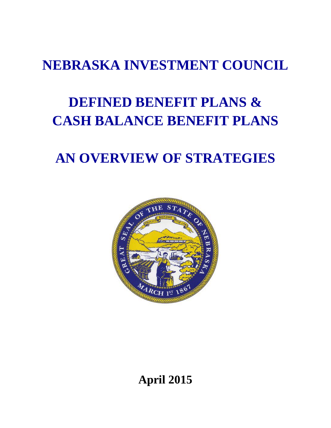## **NEBRASKA INVESTMENT COUNCIL**

# **DEFINED BENEFIT PLANS & CASH BALANCE BENEFIT PLANS**

## **AN OVERVIEW OF STRATEGIES**



**April 2015**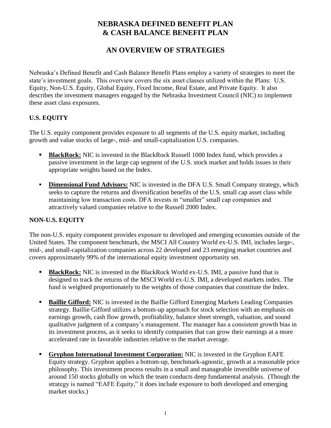### **NEBRASKA DEFINED BENEFIT PLAN & CASH BALANCE BENEFIT PLAN**

### **AN OVERVIEW OF STRATEGIES**

Nebraska's Defined Benefit and Cash Balance Benefit Plans employ a variety of strategies to meet the state's investment goals. This overview covers the six asset classes utilized within the Plans: U.S. Equity, Non-U.S. Equity, Global Equity, Fixed Income, Real Estate, and Private Equity. It also describes the investment managers engaged by the Nebraska Investment Council (NIC) to implement these asset class exposures.

#### **U.S. EQUITY**

The U.S. equity component provides exposure to all segments of the U.S. equity market, including growth and value stocks of large-, mid- and small-capitalization U.S. companies.

- **BlackRock:** NIC is invested in the BlackRock Russell 1000 Index fund, which provides a passive investment in the large cap segment of the U.S. stock market and holds issues in their appropriate weights based on the Index.
- **Dimensional Fund Advisors:** NIC is invested in the DFA U.S. Small Company strategy, which seeks to capture the returns and diversification benefits of the U.S. small cap asset class while maintaining low transaction costs. DFA invests in "smaller" small cap companies and attractively valued companies relative to the Russell 2000 Index.

#### **NON-U.S. EQUITY**

The non-U.S. equity component provides exposure to developed and emerging economies outside of the United States. The component benchmark, the MSCI All Country World ex-U.S. IMI, includes large-, mid-, and small-capitalization companies across 22 developed and 23 emerging market countries and covers approximately 99% of the international equity investment opportunity set.

- **BlackRock:** NIC is invested in the BlackRock World ex-U.S. IMI, a passive fund that is designed to track the returns of the MSCI World ex-U.S. IMI, a developed markets index. The fund is weighted proportionately to the weights of those companies that constitute the Index.
- **Baillie Gifford:** NIC is invested in the Baillie Gifford Emerging Markets Leading Companies strategy. Baillie Gifford utilizes a bottom-up approach for stock selection with an emphasis on earnings growth, cash flow growth, profitability, balance sheet strength, valuation, and sound qualitative judgment of a company's management. The manager has a consistent growth bias in its investment process, as it seeks to identify companies that can grow their earnings at a more accelerated rate in favorable industries relative to the market average.
- **Gryphon International Investment Corporation:** NIC is invested in the Gryphon EAFE Equity strategy. Gryphon applies a bottom-up, benchmark-agnostic, growth at a reasonable price philosophy. This investment process results in a small and manageable investible universe of around 150 stocks globally on which the team conducts deep fundamental analysis. (Though the strategy is named "EAFE Equity," it does include exposure to both developed and emerging market stocks.)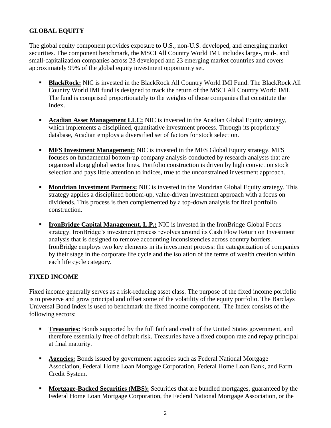#### **GLOBAL EQUITY**

The global equity component provides exposure to U.S., non-U.S. developed, and emerging market securities. The component benchmark, the MSCI All Country World IMI, includes large-, mid-, and small-capitalization companies across 23 developed and 23 emerging market countries and covers approximately 99% of the global equity investment opportunity set.

- **BlackRock:** NIC is invested in the BlackRock All Country World IMI Fund. The BlackRock All Country World IMI fund is designed to track the return of the MSCI All Country World IMI. The fund is comprised proportionately to the weights of those companies that constitute the Index.
- **Acadian Asset Management LLC:** NIC is invested in the Acadian Global Equity strategy, which implements a disciplined, quantitative investment process. Through its proprietary database, Acadian employs a diversified set of factors for stock selection.
- **MFS Investment Management:** NIC is invested in the MFS Global Equity strategy. MFS focuses on fundamental bottom-up company analysis conducted by research analysts that are organized along global sector lines. Portfolio construction is driven by high conviction stock selection and pays little attention to indices, true to the unconstrained investment approach.
- **Mondrian Investment Partners:** NIC is invested in the Mondrian Global Equity strategy. This strategy applies a disciplined bottom-up, value-driven investment approach with a focus on dividends. This process is then complemented by a top-down analysis for final portfolio construction.
- **IronBridge Capital Management, L.P.:** NIC is invested in the IronBridge Global Focus strategy. IronBridge's investment process revolves around its Cash Flow Return on Investment analysis that is designed to remove accounting inconsistencies across country borders. IronBridge employs two key elements in its investment process: the categorization of companies by their stage in the corporate life cycle and the isolation of the terms of wealth creation within each life cycle category.

#### **FIXED INCOME**

Fixed income generally serves as a risk-reducing asset class. The purpose of the fixed income portfolio is to preserve and grow principal and offset some of the volatility of the equity portfolio. The Barclays Universal Bond Index is used to benchmark the fixed income component. The Index consists of the following sectors:

- **Treasuries:** Bonds supported by the full faith and credit of the United States government, and therefore essentially free of default risk. Treasuries have a fixed coupon rate and repay principal at final maturity.
- **Agencies:** Bonds issued by government agencies such as Federal National Mortgage Association, Federal Home Loan Mortgage Corporation, Federal Home Loan Bank, and Farm Credit System.
- **Mortgage-Backed Securities (MBS):** Securities that are bundled mortgages, guaranteed by the Federal Home Loan Mortgage Corporation, the Federal National Mortgage Association, or the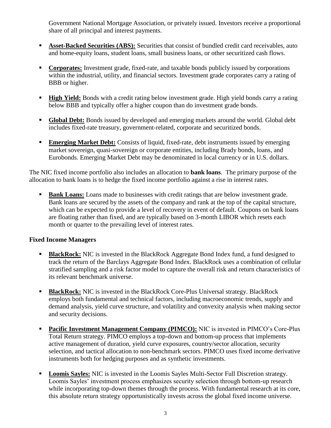Government National Mortgage Association, or privately issued. Investors receive a proportional share of all principal and interest payments.

- **Asset-Backed Securities (ABS):** Securities that consist of bundled credit card receivables, auto and home-equity loans, student loans, small business loans, or other securitized cash flows.
- **Corporates:** Investment grade, fixed-rate, and taxable bonds publicly issued by corporations within the industrial, utility, and financial sectors. Investment grade corporates carry a rating of BBB or higher.
- **High Yield:** Bonds with a credit rating below investment grade. High yield bonds carry a rating below BBB and typically offer a higher coupon than do investment grade bonds.
- **Global Debt:** Bonds issued by developed and emerging markets around the world. Global debt includes fixed-rate treasury, government-related, corporate and securitized bonds.
- **Emerging Market Debt:** Consists of liquid, fixed-rate, debt instruments issued by emerging market sovereign, quasi-sovereign or corporate entities, including Brady bonds, loans, and Eurobonds. Emerging Market Debt may be denominated in local currency or in U.S. dollars.

The NIC fixed income portfolio also includes an allocation to **bank loans**. The primary purpose of the allocation to bank loans is to hedge the fixed income portfolio against a rise in interest rates.

 **Bank Loans:** Loans made to businesses with credit ratings that are below investment grade. Bank loans are secured by the assets of the company and rank at the top of the capital structure, which can be expected to provide a level of recovery in event of default. Coupons on bank loans are floating rather than fixed, and are typically based on 3-month LIBOR which resets each month or quarter to the prevailing level of interest rates.

#### **Fixed Income Managers**

- **BlackRock:** NIC is invested in the BlackRock Aggregate Bond Index fund, a fund designed to track the return of the Barclays Aggregate Bond Index. BlackRock uses a combination of cellular stratified sampling and a risk factor model to capture the overall risk and return characteristics of its relevant benchmark universe.
- **BlackRock:** NIC is invested in the BlackRock Core-Plus Universal strategy. BlackRock employs both fundamental and technical factors, including macroeconomic trends, supply and demand analysis, yield curve structure, and volatility and convexity analysis when making sector and security decisions.
- **Pacific Investment Management Company (PIMCO):** NIC is invested in PIMCO's Core-Plus Total Return strategy. PIMCO employs a top-down and bottom-up process that implements active management of duration, yield curve exposures, country/sector allocation, security selection, and tactical allocation to non-benchmark sectors. PIMCO uses fixed income derivative instruments both for hedging purposes and as synthetic investments.
- **Loomis Sayles:** NIC is invested in the Loomis Sayles Multi-Sector Full Discretion strategy. Loomis Sayles' investment process emphasizes security selection through bottom-up research while incorporating top-down themes through the process. With fundamental research at its core, this absolute return strategy opportunistically invests across the global fixed income universe.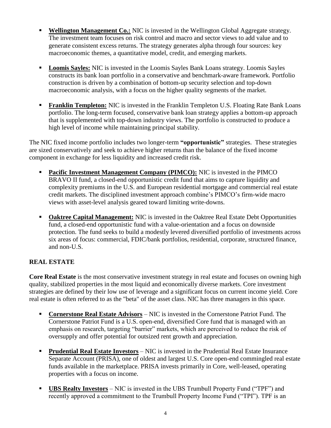- **Wellington Management Co.:** NIC is invested in the Wellington Global Aggregate strategy. The investment team focuses on risk control and macro and sector views to add value and to generate consistent excess returns. The strategy generates alpha through four sources: key macroeconomic themes, a quantitative model, credit, and emerging markets.
- **Loomis Sayles:** NIC is invested in the Loomis Sayles Bank Loans strategy. Loomis Sayles constructs its bank loan portfolio in a conservative and benchmark-aware framework. Portfolio construction is driven by a combination of bottom-up security selection and top-down macroeconomic analysis, with a focus on the higher quality segments of the market.
- **Franklin Templeton:** NIC is invested in the Franklin Templeton U.S. Floating Rate Bank Loans portfolio. The long-term focused, conservative bank loan strategy applies a bottom-up approach that is supplemented with top-down industry views. The portfolio is constructed to produce a high level of income while maintaining principal stability.

The NIC fixed income portfolio includes two longer-term **"opportunistic"** strategies. These strategies are sized conservatively and seek to achieve higher returns than the balance of the fixed income component in exchange for less liquidity and increased credit risk.

- **Pacific Investment Management Company (PIMCO):** NIC is invested in the PIMCO BRAVO II fund, a closed-end opportunistic credit fund that aims to capture liquidity and complexity premiums in the U.S. and European residential mortgage and commercial real estate credit markets. The disciplined investment approach combine's PIMCO's firm-wide macro views with asset-level analysis geared toward limiting write-downs.
- **Oaktree Capital Management:** NIC is invested in the Oaktree Real Estate Debt Opportunities fund, a closed-end opportunistic fund with a value-orientation and a focus on downside protection. The fund seeks to build a modestly levered diversified portfolio of investments across six areas of focus: commercial, FDIC/bank portfolios, residential, corporate, structured finance, and non-U.S.

#### **REAL ESTATE**

**Core Real Estate** is the most conservative investment strategy in real estate and focuses on owning high quality, stabilized properties in the most liquid and economically diverse markets. Core investment strategies are defined by their low use of leverage and a significant focus on current income yield. Core real estate is often referred to as the "beta" of the asset class. NIC has three managers in this space.

- **Cornerstone Real Estate Advisors** NIC is invested in the Cornerstone Patriot Fund. The Cornerstone Patriot Fund is a U.S. open-end, diversified Core fund that is managed with an emphasis on research, targeting "barrier" markets, which are perceived to reduce the risk of oversupply and offer potential for outsized rent growth and appreciation.
- **Prudential Real Estate Investors** NIC is invested in the Prudential Real Estate Insurance Separate Account (PRISA), one of oldest and largest U.S. Core open-end commingled real estate funds available in the marketplace. PRISA invests primarily in Core, well-leased, operating properties with a focus on income.
- **UBS Realty Investors** NIC is invested in the UBS Trumbull Property Fund ("TPF") and recently approved a commitment to the Trumbull Property Income Fund ("TPI"). TPF is an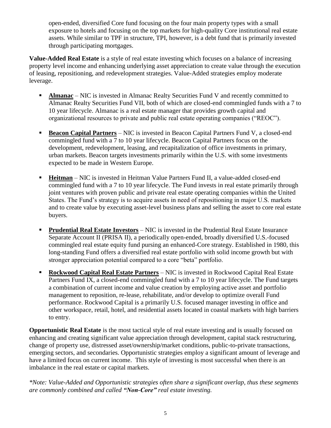open-ended, diversified Core fund focusing on the four main property types with a small exposure to hotels and focusing on the top markets for high-quality Core institutional real estate assets. While similar to TPF in structure, TPI, however, is a debt fund that is primarily invested through participating mortgages.

**Value-Added Real Estate** is a style of real estate investing which focuses on a balance of increasing property level income and enhancing underlying asset appreciation to create value through the execution of leasing, repositioning, and redevelopment strategies. Value-Added strategies employ moderate leverage.

- **Almanac** NIC is invested in Almanac Realty Securities Fund V and recently committed to Almanac Realty Securities Fund VII, both of which are closed-end commingled funds with a 7 to 10 year lifecycle. Almanac is a real estate manager that provides growth capital and organizational resources to private and public real estate operating companies ("REOC").
- **Beacon Capital Partners** NIC is invested in Beacon Capital Partners Fund V, a closed-end commingled fund with a 7 to 10 year lifecycle. Beacon Capital Partners focus on the development, redevelopment, leasing, and recapitalization of office investments in primary, urban markets. Beacon targets investments primarily within the U.S. with some investments expected to be made in Western Europe.
- **Heitman** NIC is invested in Heitman Value Partners Fund II, a value-added closed-end commingled fund with a 7 to 10 year lifecycle. The Fund invests in real estate primarily through joint ventures with proven public and private real estate operating companies within the United States. The Fund's strategy is to acquire assets in need of repositioning in major U.S. markets and to create value by executing asset-level business plans and selling the asset to core real estate buyers.
- **Prudential Real Estate Investors** NIC is invested in the Prudential Real Estate Insurance Separate Account II (PRISA II), a periodically open-ended, broadly diversified U.S.-focused commingled real estate equity fund pursing an enhanced-Core strategy. Established in 1980, this long-standing Fund offers a diversified real estate portfolio with solid income growth but with stronger appreciation potential compared to a core "beta" portfolio.
- **Rockwood Capital Real Estate Partners** NIC is invested in Rockwood Capital Real Estate Partners Fund IX, a closed-end commingled fund with a 7 to 10 year lifecycle. The Fund targets a combination of current income and value creation by employing active asset and portfolio management to reposition, re-lease, rehabilitate, and/or develop to optimize overall Fund performance. Rockwood Capital is a primarily U.S. focused manager investing in office and other workspace, retail, hotel, and residential assets located in coastal markets with high barriers to entry.

**Opportunistic Real Estate** is the most tactical style of real estate investing and is usually focused on enhancing and creating significant value appreciation through development, capital stack restructuring, change of property use, distressed asset/ownership/market conditions, public-to-private transactions, emerging sectors, and secondaries. Opportunistic strategies employ a significant amount of leverage and have a limited focus on current income. This style of investing is most successful when there is an imbalance in the real estate or capital markets.

*\*Note: Value-Added and Opportunistic strategies often share a significant overlap, thus these segments are commonly combined and called "Non-Core" real estate investing.*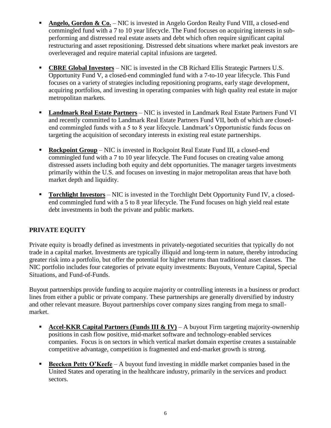- **Angelo, Gordon & Co.** NIC is invested in Angelo Gordon Realty Fund VIII, a closed-end commingled fund with a 7 to 10 year lifecycle. The Fund focuses on acquiring interests in subperforming and distressed real estate assets and debt which often require significant capital restructuring and asset repositioning. Distressed debt situations where market peak investors are overleveraged and require material capital infusions are targeted.
- **CBRE Global Investors** NIC is invested in the CB Richard Ellis Strategic Partners U.S. Opportunity Fund V, a closed-end commingled fund with a 7-to-10 year lifecycle. This Fund focuses on a variety of strategies including repositioning programs, early stage development, acquiring portfolios, and investing in operating companies with high quality real estate in major metropolitan markets.
- **Landmark Real Estate Partners** NIC is invested in Landmark Real Estate Partners Fund VI and recently committed to Landmark Real Estate Partners Fund VII, both of which are closedend commingled funds with a 5 to 8 year lifecycle. Landmark's Opportunistic funds focus on targeting the acquisition of secondary interests in existing real estate partnerships.
- **Rockpoint Group** NIC is invested in Rockpoint Real Estate Fund III, a closed-end commingled fund with a 7 to 10 year lifecycle. The Fund focuses on creating value among distressed assets including both equity and debt opportunities. The manager targets investments primarily within the U.S. and focuses on investing in major metropolitan areas that have both market depth and liquidity.
- **Torchlight Investors** NIC is invested in the Torchlight Debt Opportunity Fund IV, a closedend commingled fund with a 5 to 8 year lifecycle. The Fund focuses on high yield real estate debt investments in both the private and public markets.

#### **PRIVATE EQUITY**

Private equity is broadly defined as investments in privately-negotiated securities that typically do not trade in a capital market. Investments are typically illiquid and long-term in nature, thereby introducing greater risk into a portfolio, but offer the potential for higher returns than traditional asset classes. The NIC portfolio includes four categories of private equity investments: Buyouts, Venture Capital, Special Situations, and Fund-of-Funds.

Buyout partnerships provide funding to acquire majority or controlling interests in a business or product lines from either a public or private company. These partnerships are generally diversified by industry and other relevant measure. Buyout partnerships cover company sizes ranging from mega to smallmarket.

- **Accel-KKR Capital Partners (Funds III & IV)** A buyout Firm targeting majority-ownership positions in cash flow positive, mid-market software and technology-enabled services companies. Focus is on sectors in which vertical market domain expertise creates a sustainable competitive advantage, competition is fragmented and end-market growth is strong.
- **Beecken Petty O'Keefe** A buyout fund investing in middle market companies based in the United States and operating in the healthcare industry, primarily in the services and product sectors.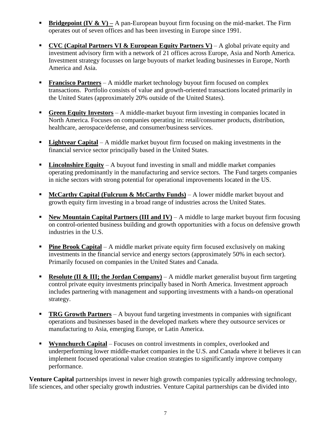- **Bridgepoint (IV & V)** A pan-European buyout firm focusing on the mid-market. The Firm operates out of seven offices and has been investing in Europe since 1991.
- **CVC (Capital Partners VI & European Equity Partners V)** A global private equity and investment advisory firm with a network of 21 offices across Europe, Asia and North America. Investment strategy focusses on large buyouts of market leading businesses in Europe, North America and Asia.
- **Francisco Partners** A middle market technology buyout firm focused on complex transactions. Portfolio consists of value and growth-oriented transactions located primarily in the United States (approximately 20% outside of the United States).
- **Green Equity Investors** A middle-market buyout firm investing in companies located in North America. Focuses on companies operating in: retail/consumer products, distribution, healthcare, aerospace/defense, and consumer/business services.
- **Lightyear Capital** A middle market buyout firm focused on making investments in the financial service sector principally based in the United States.
- **Lincolnshire Equity** A buyout fund investing in small and middle market companies operating predominantly in the manufacturing and service sectors. The Fund targets companies in niche sectors with strong potential for operational improvements located in the US.
- **McCarthy Capital (Fulcrum & McCarthy Funds)** A lower middle market buyout and growth equity firm investing in a broad range of industries across the United States.
- **New Mountain Capital Partners (III and IV)** A middle to large market buyout firm focusing on control-oriented business building and growth opportunities with a focus on defensive growth industries in the U.S.
- **Pine Brook Capital** A middle market private equity firm focused exclusively on making investments in the financial service and energy sectors (approximately 50% in each sector). Primarily focused on companies in the United States and Canada.
- **Resolute (II & III; the Jordan Company)** A middle market generalist buyout firm targeting control private equity investments principally based in North America. Investment approach includes partnering with management and supporting investments with a hands-on operational strategy.
- **TRG Growth Partners** A buyout fund targeting investments in companies with significant operations and businesses based in the developed markets where they outsource services or manufacturing to Asia, emerging Europe, or Latin America.
- **Wynnchurch Capital** Focuses on control investments in complex, overlooked and underperforming lower middle-market companies in the U.S. and Canada where it believes it can implement focused operational value creation strategies to significantly improve company performance.

**Venture Capital** partnerships invest in newer high growth companies typically addressing technology, life sciences, and other specialty growth industries. Venture Capital partnerships can be divided into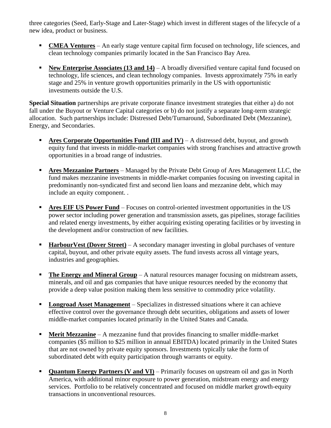three categories (Seed, Early-Stage and Later-Stage) which invest in different stages of the lifecycle of a new idea, product or business.

- **CMEA Ventures** An early stage venture capital firm focused on technology, life sciences, and clean technology companies primarily located in the San Francisco Bay Area.
- **New Enterprise Associates (13 and 14)** A broadly diversified venture capital fund focused on technology, life sciences, and clean technology companies. Invests approximately 75% in early stage and 25% in venture growth opportunities primarily in the US with opportunistic investments outside the U.S.

**Special Situation** partnerships are private corporate finance investment strategies that either a) do not fall under the Buyout or Venture Capital categories or b) do not justify a separate long-term strategic allocation. Such partnerships include: Distressed Debt/Turnaround, Subordinated Debt (Mezzanine), Energy, and Secondaries.

- **Ares Corporate Opportunities Fund (III and IV)** A distressed debt, buyout, and growth equity fund that invests in middle-market companies with strong franchises and attractive growth opportunities in a broad range of industries.
- **Ares Mezzanine Partners** Managed by the Private Debt Group of Ares Management LLC, the fund makes mezzanine investments in middle-market companies focusing on investing capital in predominantly non-syndicated first and second lien loans and mezzanine debt, which may include an equity component. .
- **Ares EIF US Power Fund** Focuses on control-oriented investment opportunities in the US power sector including power generation and transmission assets, gas pipelines, storage facilities and related energy investments, by either acquiring existing operating facilities or by investing in the development and/or construction of new facilities.
- **HarbourVest (Dover Street)** A secondary manager investing in global purchases of venture capital, buyout, and other private equity assets. The fund invests across all vintage years, industries and geographies.
- **The Energy and Mineral Group** A natural resources manager focusing on midstream assets, minerals, and oil and gas companies that have unique resources needed by the economy that provide a deep value position making them less sensitive to commodity price volatility.
- **Longroad Asset Management** Specializes in distressed situations where it can achieve effective control over the governance through debt securities, obligations and assets of lower middle-market companies located primarily in the United States and Canada.
- **Merit Mezzanine** A mezzanine fund that provides financing to smaller middle-market companies (\$5 million to \$25 million in annual EBITDA) located primarily in the United States that are not owned by private equity sponsors. Investments typically take the form of subordinated debt with equity participation through warrants or equity.
- **Quantum Energy Partners (V and VI)** Primarily focuses on upstream oil and gas in North America, with additional minor exposure to power generation, midstream energy and energy services. Portfolio to be relatively concentrated and focused on middle market growth-equity transactions in unconventional resources.